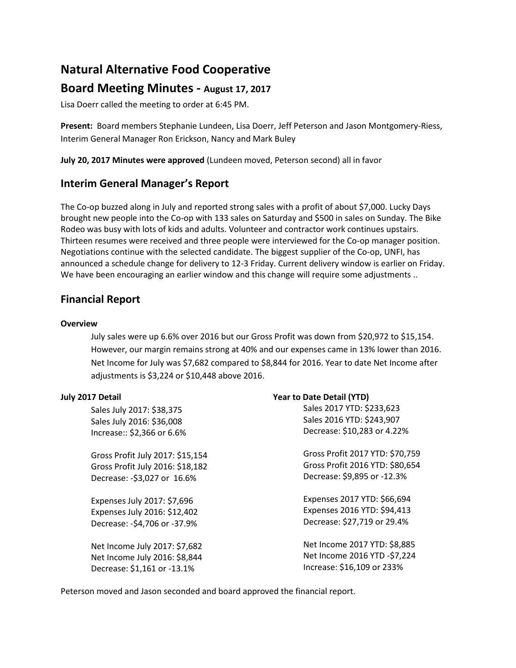# **Natural Alternative Food Cooperative**

## **Board Meeting Minutes - August 17, 2017**

Lisa Doerr called the meeting to order at 6:45 PM.

**Present:** Board members Stephanie Lundeen, Lisa Doerr, Jeff Peterson and Jason Montgomery-Riess, Interim General Manager Ron Erickson, Nancy and Mark Buley

**July 20, 2017 Minutes were approved** (Lundeen moved, Peterson second) all in favor

### **Interim General Manager's Report**

The Co-op buzzed along in July and reported strong sales with a profit of about \$7,000. Lucky Days brought new people into the Co-op with 133 sales on Saturday and \$500 in sales on Sunday. The Bike Rodeo was busy with lots of kids and adults. Volunteer and contractor work continues upstairs. Thirteen resumes were received and three people were interviewed for the Co-op manager position. Negotiations continue with the selected candidate. The biggest supplier of the Co-op, UNFI, has announced a schedule change for delivery to 12-3 Friday. Current delivery window is earlier on Friday. We have been encouraging an earlier window and this change will require some adjustments ..

# **Financial Report**

#### **Overview**

July sales were up 6.6% over 2016 but our Gross Profit was down from \$20,972 to \$15,154. However, our margin remains strong at 40% and our expenses came in 13% lower than 2016. Net Income for July was \$7,682 compared to \$8,844 for 2016. Year to date Net Income after adjustments is \$3,224 or \$10,448 above 2016.

**Year to Date Detail (YTD)** 

#### **July 2017 Detail**

| Sales July 2017: \$38,375        | Sales 2017 YTD: \$233,623       |
|----------------------------------|---------------------------------|
| Sales July 2016: \$36,008        | Sales 2016 YTD: \$243,907       |
| Increase:: \$2,366 or 6.6%       | Decrease: \$10,283 or 4.22%     |
| Gross Profit July 2017: \$15,154 | Gross Profit 2017 YTD: \$70,759 |
| Gross Profit July 2016: \$18,182 | Gross Profit 2016 YTD: \$80,654 |
| Decrease: - \$3,027 or 16.6%     | Decrease: \$9,895 or -12.3%     |
| Expenses July 2017: \$7,696      | Expenses 2017 YTD: \$66,694     |
| Expenses July 2016: \$12,402     | Expenses 2016 YTD: \$94,413     |
| Decrease: - \$4,706 or - 37.9%   | Decrease: \$27,719 or 29.4%     |
| Net Income July 2017: \$7,682    | Net Income 2017 YTD: \$8,885    |
| Net Income July 2016: \$8,844    | Net Income 2016 YTD -\$7,224    |
| Decrease: \$1,161 or -13.1%      | Increase: \$16,109 or 233%      |

Peterson moved and Jason seconded and board approved the financial report.